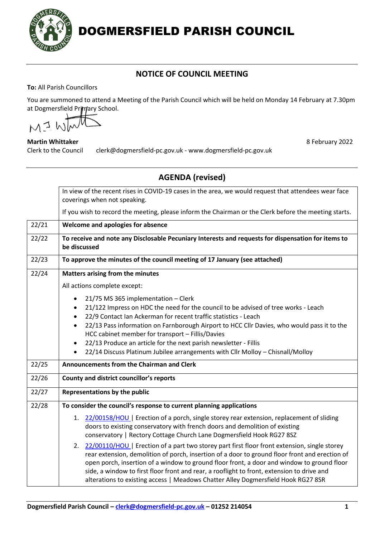

DOGMERSFIELD PARISH COUNCIL

## **NOTICE OF COUNCIL MEETING**

**To:** All Parish Councillors

You are summoned to attend a Meeting of the Parish Council which will be held on Monday 14 February at 7.30pm at Dogmersfield Primary School.

MI WI

**Martin Whittaker** 8 **Martin Whittaker** 8 **Martin Whittaker** 8 **Martin Whittaker** 8 **Martin Whittaker** 8 **Martin Whittaker** 8 **Martin Whittaker** 8 **Martin Whittaker** 8 **Martin Whittaker** 8 **Martin Whittaker** 8 **Martin Whit** Clerk to the Council clerk@dogmersfield-pc.gov.uk - www.dogmersfield-pc.gov.uk

|                 | <b>AGENDA</b> (revised)                                                                                                                                                                                                                                                                                                                                                                                                                                                                                                        |
|-----------------|--------------------------------------------------------------------------------------------------------------------------------------------------------------------------------------------------------------------------------------------------------------------------------------------------------------------------------------------------------------------------------------------------------------------------------------------------------------------------------------------------------------------------------|
|                 | In view of the recent rises in COVID-19 cases in the area, we would request that attendees wear face<br>coverings when not speaking.                                                                                                                                                                                                                                                                                                                                                                                           |
|                 | If you wish to record the meeting, please inform the Chairman or the Clerk before the meeting starts.                                                                                                                                                                                                                                                                                                                                                                                                                          |
| 22/21           | Welcome and apologies for absence                                                                                                                                                                                                                                                                                                                                                                                                                                                                                              |
| 22/22           | To receive and note any Disclosable Pecuniary Interests and requests for dispensation for items to<br>be discussed                                                                                                                                                                                                                                                                                                                                                                                                             |
| 22/23           | To approve the minutes of the council meeting of 17 January (see attached)                                                                                                                                                                                                                                                                                                                                                                                                                                                     |
| $\frac{22}{24}$ | Matters arising from the minutes                                                                                                                                                                                                                                                                                                                                                                                                                                                                                               |
|                 | All actions complete except:                                                                                                                                                                                                                                                                                                                                                                                                                                                                                                   |
|                 | 21/75 MS 365 implementation - Clerk<br>$\bullet$<br>21/122 Impress on HDC the need for the council to be advised of tree works - Leach<br>22/9 Contact Ian Ackerman for recent traffic statistics - Leach<br>22/13 Pass information on Farnborough Airport to HCC Cllr Davies, who would pass it to the<br>HCC cabinet member for transport - Fillis/Davies<br>22/13 Produce an article for the next parish newsletter - Fillis<br>$\bullet$<br>22/14 Discuss Platinum Jubilee arrangements with Cllr Molloy - Chisnall/Molloy |
| 22/25           | Announcements from the Chairman and Clerk                                                                                                                                                                                                                                                                                                                                                                                                                                                                                      |
| 22/26           | County and district councillor's reports                                                                                                                                                                                                                                                                                                                                                                                                                                                                                       |
| 22/27           | Representations by the public                                                                                                                                                                                                                                                                                                                                                                                                                                                                                                  |
| 22/28           | To consider the council's response to current planning applications                                                                                                                                                                                                                                                                                                                                                                                                                                                            |
|                 | 1. 22/00158/HOU   Erection of a porch, single storey rear extension, replacement of sliding<br>doors to existing conservatory with french doors and demolition of existing<br>conservatory   Rectory Cottage Church Lane Dogmersfield Hook RG27 8SZ                                                                                                                                                                                                                                                                            |
|                 | 2. 22/00110/HOU   Erection of a part two storey part first floor front extension, single storey<br>rear extension, demolition of porch, insertion of a door to ground floor front and erection of<br>open porch, insertion of a window to ground floor front, a door and window to ground floor<br>side, a window to first floor front and rear, a rooflight to front, extension to drive and<br>alterations to existing access   Meadows Chatter Alley Dogmersfield Hook RG27 8SR                                             |